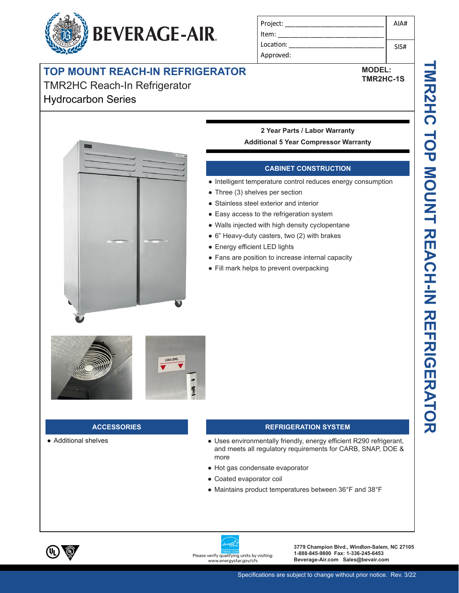# **BEVERAGE-AIR.**

| Project:  | AIA# |
|-----------|------|
| ltem:     |      |
| Location: | SIS# |
| Approved: |      |

**MODEL: TMR2HC-1S**

## **TOP MOUNT REACH-IN REFRIGERATOR**

### TMR2HC Reach-In Refrigerator Hydrocarbon Series





#### **2 Year Parts / Labor Warranty Additional 5 Year Compressor Warranty**

#### **CABINET CONSTRUCTION**

- Intelligent temperature control reduces energy consumption
- Three (3) shelves per section
- Stainless steel exterior and interior
- Easy access to the refrigeration system
- Walls injected with high density cyclopentane
- 6" Heavy-duty casters, two (2) with brakes
- Energy efficient LED lights
- Fans are position to increase internal capacity
- Fill mark helps to prevent overpacking



#### **ACCESSORIES**

● Additional shelves

#### **REFRIGERATION SYSTEM**

- Uses environmentally friendly, energy efficient R290 refrigerant, and meets all regulatory requirements for CARB, SNAP, DOE & more
- Hot gas condensate evaporator
- Coated evaporator coil
- Maintains product temperatures between 36°F and 38°F



.energystar.gov/cfs

**3779 Champion Blvd., Winston-Salem, NC 27105 1-888-845-9800 Fax: 1-336-245-6453 Please verify qualifying units by visiting: 1-888-845-9800 Fax: 1-336-245-6453**<br>www.energystar.gov/cfs **Beverage-Air.com Sales@bevair.com**